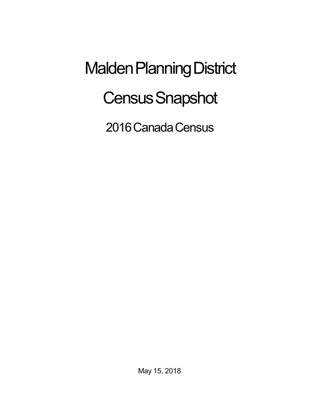Malden Planning District **Census Snapshot** 

2016 Canada Census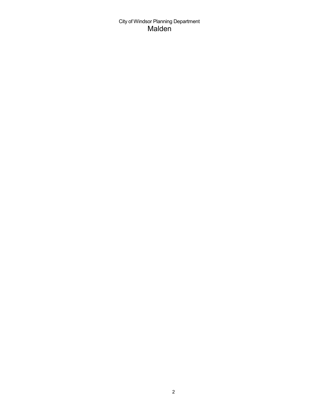City of Windsor Planning Department Malden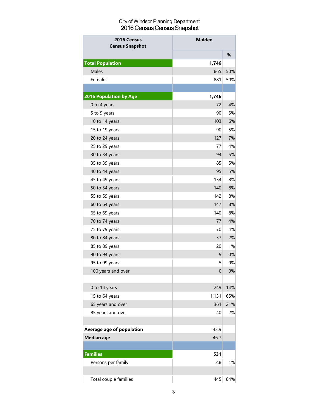## City of Windsor Planning Department 2016 Census Census Snapshot

| 2016 Census<br><b>Census Snapshot</b> | <b>Malden</b>    |     |
|---------------------------------------|------------------|-----|
|                                       |                  | %   |
| <b>Total Population</b>               | 1,746            |     |
| <b>Males</b>                          | 865              | 50% |
| Females                               | 881              | 50% |
|                                       |                  |     |
| <b>2016 Population by Age</b>         | 1,746            |     |
| 0 to 4 years                          | 72               | 4%  |
| 5 to 9 years                          | 90               | 5%  |
| 10 to 14 years                        | 103              | 6%  |
| 15 to 19 years                        | 90               | 5%  |
| 20 to 24 years                        | 127              | 7%  |
| 25 to 29 years                        | 77               | 4%  |
| 30 to 34 years                        | 94               | 5%  |
| 35 to 39 years                        | 85               | 5%  |
| 40 to 44 years                        | 95               | 5%  |
| 45 to 49 years                        | 134              | 8%  |
| 50 to 54 years                        | 140              | 8%  |
| 55 to 59 years                        | 142              | 8%  |
| 60 to 64 years                        | 147              | 8%  |
| 65 to 69 years                        | 140              | 8%  |
| 70 to 74 years                        | 77               | 4%  |
| 75 to 79 years                        | 70               | 4%  |
| 80 to 84 years                        | 37               | 2%  |
| 85 to 89 years                        | 20               | 1%  |
| 90 to 94 years                        | 9                | 0%  |
| 95 to 99 years                        | 5                | 0%  |
| 100 years and over                    | $\boldsymbol{0}$ | 0%  |
|                                       |                  |     |
| 0 to 14 years                         | 249              | 14% |
| 15 to 64 years                        | 1,131            | 65% |
| 65 years and over                     | 361              | 21% |
| 85 years and over                     | 40               | 2%  |
|                                       |                  |     |
| Average age of population             | 43.9             |     |
| <b>Median age</b>                     | 46.7             |     |
|                                       |                  |     |
| <b>Families</b>                       | 531              |     |
| Persons per family                    | 2.8              | 1%  |
|                                       |                  |     |
| Total couple families                 | 445              | 84% |